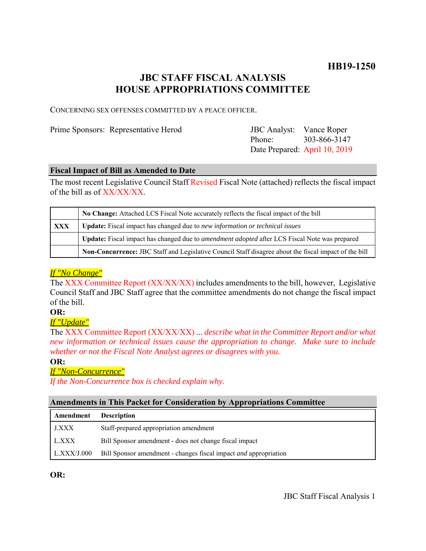# **JBC STAFF FISCAL ANALYSIS HOUSE APPROPRIATIONS COMMITTEE**

CONCERNING SEX OFFENSES COMMITTED BY A PEACE OFFICER.

Prime Sponsors: Representative Herod

Phone: Date Prepared: April 10, 2019 JBC Analyst: Vance Roper 303-866-3147

### **Fiscal Impact of Bill as Amended to Date**

The most recent Legislative Council Staff Revised Fiscal Note (attached) reflects the fiscal impact of the bill as of XX/XX/XX.

|            | No Change: Attached LCS Fiscal Note accurately reflects the fiscal impact of the bill                 |
|------------|-------------------------------------------------------------------------------------------------------|
| <b>XXX</b> | <b>Update:</b> Fiscal impact has changed due to new information or technical issues                   |
|            | Update: Fiscal impact has changed due to <i>amendment adopted</i> after LCS Fiscal Note was prepared  |
|            | Non-Concurrence: JBC Staff and Legislative Council Staff disagree about the fiscal impact of the bill |

# *If "No Change"*

The XXX Committee Report (XX/XX/XX) includes amendments to the bill, however, Legislative Council Staff and JBC Staff agree that the committee amendments do not change the fiscal impact of the bill.

# **OR:**

# *If "Update"*

The XXX Committee Report (XX/XX/XX) ... *describe what in the Committee Report and/or what new information or technical issues cause the appropriation to change. Make sure to include whether or not the Fiscal Note Analyst agrees or disagrees with you.*

#### **OR:**

# *If "Non-Concurrence"*

*If the Non-Concurrence box is checked explain why.* 

# **Amendments in This Packet for Consideration by Appropriations Committee**

| Amendment    | <b>Description</b>                                                      |
|--------------|-------------------------------------------------------------------------|
| <b>J.XXX</b> | Staff-prepared appropriation amendment                                  |
| L.XXX        | Bill Sponsor amendment - does not change fiscal impact                  |
| LLXXX/J.000  | Bill Sponsor amendment - changes fiscal impact <i>and</i> appropriation |

**OR:**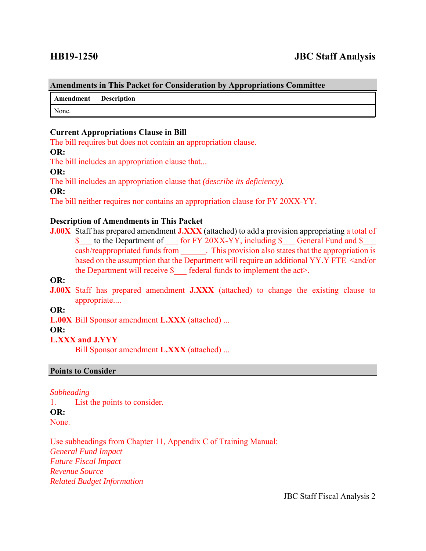#### **Amendments in This Packet for Consideration by Appropriations Committee**

**Amendment Description**

None.

### **Current Appropriations Clause in Bill**

The bill requires but does not contain an appropriation clause.

#### **OR:**

The bill includes an appropriation clause that...

#### **OR:**

The bill includes an appropriation clause that *(describe its deficiency).*

#### **OR:**

The bill neither requires nor contains an appropriation clause for FY 20XX-YY.

### **Description of Amendments in This Packet**

**J.00X** Staff has prepared amendment **J.XXX** (attached) to add a provision appropriating a total of \$ to the Department of for FY 20XX-YY, including \$ General Fund and \$ cash/reappropriated funds from \_\_\_\_\_\_. This provision also states that the appropriation is based on the assumption that the Department will require an additional YY.Y FTE <and/or the Department will receive  $\S$  federal funds to implement the act>.

# **OR:**

**J.00X** Staff has prepared amendment **J.XXX** (attached) to change the existing clause to appropriate....

#### **OR:**

**L.00X** Bill Sponsor amendment **L.XXX** (attached) ...

#### **OR:**

#### **L.XXX and J.YYY**

Bill Sponsor amendment **L.XXX** (attached) ...

#### **Points to Consider**

#### *Subheading*

1. List the points to consider. **OR:** None.

Use subheadings from Chapter 11, Appendix C of Training Manual: *General Fund Impact Future Fiscal Impact Revenue Source Related Budget Information*